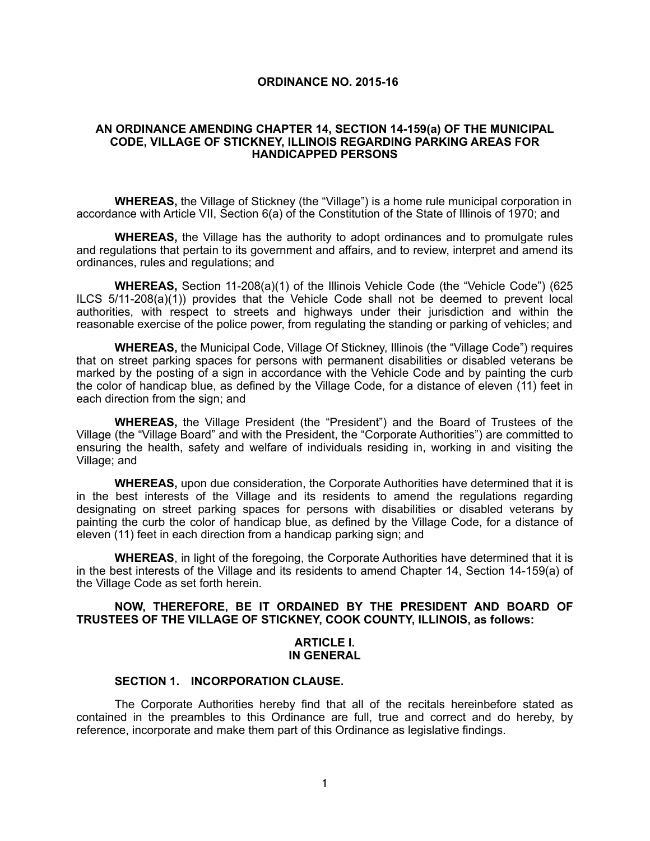#### **ORDINANCE NO. 2015-16**

### **AN ORDINANCE AMENDING CHAPTER 14, SECTION 14-159(a) OF THE MUNICIPAL CODE, VILLAGE OF STICKNEY, ILLINOIS REGARDING PARKING AREAS FOR HANDICAPPED PERSONS**

**WHEREAS,** the Village of Stickney (the "Village") is a home rule municipal corporation in accordance with Article VII, Section 6(a) of the Constitution of the State of Illinois of 1970; and

**WHEREAS,** the Village has the authority to adopt ordinances and to promulgate rules and regulations that pertain to its government and affairs, and to review, interpret and amend its ordinances, rules and regulations; and

**WHEREAS,** Section 11-208(a)(1) of the Illinois Vehicle Code (the "Vehicle Code") (625 ILCS 5/11-208(a)(1)) provides that the Vehicle Code shall not be deemed to prevent local authorities, with respect to streets and highways under their jurisdiction and within the reasonable exercise of the police power, from regulating the standing or parking of vehicles; and

**WHEREAS,** the Municipal Code, Village Of Stickney, Illinois (the "Village Code") requires that on street parking spaces for persons with permanent disabilities or disabled veterans be marked by the posting of a sign in accordance with the Vehicle Code and by painting the curb the color of handicap blue, as defined by the Village Code, for a distance of eleven (11) feet in each direction from the sign; and

**WHEREAS,** the Village President (the "President") and the Board of Trustees of the Village (the "Village Board" and with the President, the "Corporate Authorities") are committed to ensuring the health, safety and welfare of individuals residing in, working in and visiting the Village; and

**WHEREAS,** upon due consideration, the Corporate Authorities have determined that it is in the best interests of the Village and its residents to amend the regulations regarding designating on street parking spaces for persons with disabilities or disabled veterans by painting the curb the color of handicap blue, as defined by the Village Code, for a distance of eleven (11) feet in each direction from a handicap parking sign; and

**WHEREAS**, in light of the foregoing, the Corporate Authorities have determined that it is in the best interests of the Village and its residents to amend Chapter 14, Section 14-159(a) of the Village Code as set forth herein.

### **NOW, THEREFORE, BE IT ORDAINED BY THE PRESIDENT AND BOARD OF TRUSTEES OF THE VILLAGE OF STICKNEY, COOK COUNTY, ILLINOIS, as follows:**

### **ARTICLE I. IN GENERAL**

#### **SECTION 1. INCORPORATION CLAUSE.**

The Corporate Authorities hereby find that all of the recitals hereinbefore stated as contained in the preambles to this Ordinance are full, true and correct and do hereby, by reference, incorporate and make them part of this Ordinance as legislative findings.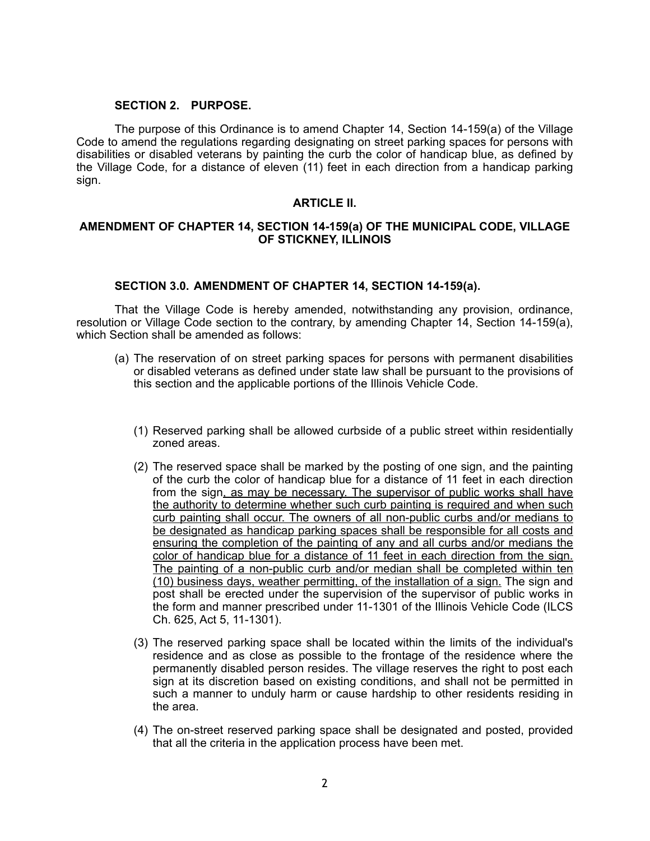### **SECTION 2. PURPOSE.**

 The purpose of this Ordinance is to amend Chapter 14, Section 14-159(a) of the Village Code to amend the regulations regarding designating on street parking spaces for persons with disabilities or disabled veterans by painting the curb the color of handicap blue, as defined by the Village Code, for a distance of eleven (11) feet in each direction from a handicap parking sign.

### **ARTICLE II.**

## **AMENDMENT OF CHAPTER 14, SECTION 14-159(a) OF THE MUNICIPAL CODE, VILLAGE OF STICKNEY, ILLINOIS**

### **SECTION 3.0. AMENDMENT OF CHAPTER 14, SECTION 14-159(a).**

That the Village Code is hereby amended, notwithstanding any provision, ordinance, resolution or Village Code section to the contrary, by amending Chapter 14, Section 14-159(a), which Section shall be amended as follows:

- (a) The reservation of on street parking spaces for persons with permanent disabilities or disabled veterans as defined under state law shall be pursuant to the provisions of this section and the applicable portions of the Illinois Vehicle Code.
	- (1) Reserved parking shall be allowed curbside of a public street within residentially zoned areas.
	- (2) The reserved space shall be marked by the posting of one sign, and the painting of the curb the color of handicap blue for a distance of 11 feet in each direction from the sign, as may be necessary. The supervisor of public works shall have the authority to determine whether such curb painting is required and when such curb painting shall occur. The owners of all non-public curbs and/or medians to be designated as handicap parking spaces shall be responsible for all costs and ensuring the completion of the painting of any and all curbs and/or medians the color of handicap blue for a distance of 11 feet in each direction from the sign. The painting of a non-public curb and/or median shall be completed within ten (10) business days, weather permitting, of the installation of a sign. The sign and post shall be erected under the supervision of the supervisor of public works in the form and manner prescribed under 11-1301 of the Illinois Vehicle Code (ILCS Ch. 625, Act 5, 11-1301).
	- (3) The reserved parking space shall be located within the limits of the individual's residence and as close as possible to the frontage of the residence where the permanently disabled person resides. The village reserves the right to post each sign at its discretion based on existing conditions, and shall not be permitted in such a manner to unduly harm or cause hardship to other residents residing in the area.
	- (4) The on-street reserved parking space shall be designated and posted, provided that all the criteria in the application process have been met.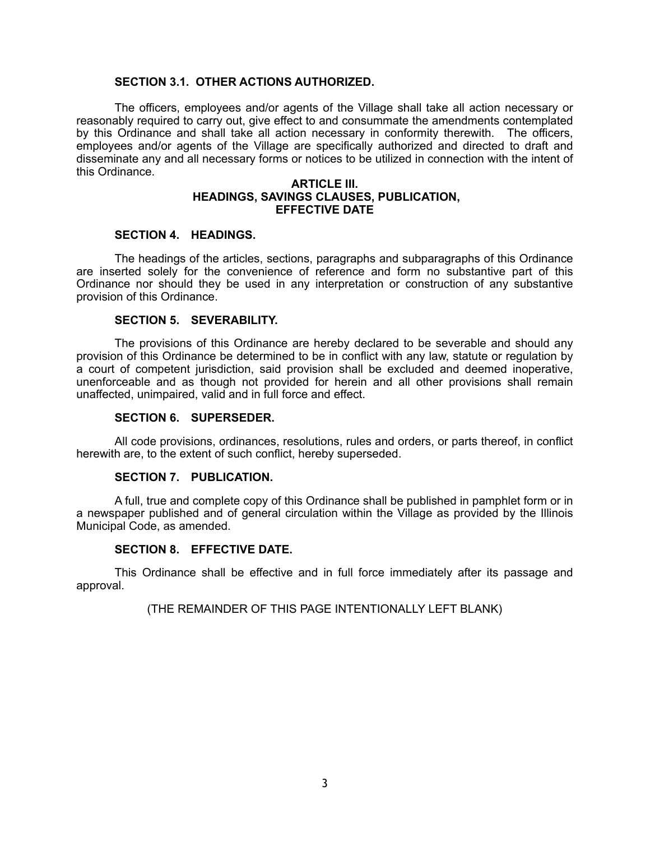## **SECTION 3.1. OTHER ACTIONS AUTHORIZED.**

The officers, employees and/or agents of the Village shall take all action necessary or reasonably required to carry out, give effect to and consummate the amendments contemplated by this Ordinance and shall take all action necessary in conformity therewith. The officers, employees and/or agents of the Village are specifically authorized and directed to draft and disseminate any and all necessary forms or notices to be utilized in connection with the intent of this Ordinance.

### **ARTICLE III. HEADINGS, SAVINGS CLAUSES, PUBLICATION, EFFECTIVE DATE**

## **SECTION 4. HEADINGS.**

The headings of the articles, sections, paragraphs and subparagraphs of this Ordinance are inserted solely for the convenience of reference and form no substantive part of this Ordinance nor should they be used in any interpretation or construction of any substantive provision of this Ordinance.

### **SECTION 5. SEVERABILITY.**

The provisions of this Ordinance are hereby declared to be severable and should any provision of this Ordinance be determined to be in conflict with any law, statute or regulation by a court of competent jurisdiction, said provision shall be excluded and deemed inoperative, unenforceable and as though not provided for herein and all other provisions shall remain unaffected, unimpaired, valid and in full force and effect.

### **SECTION 6. SUPERSEDER.**

All code provisions, ordinances, resolutions, rules and orders, or parts thereof, in conflict herewith are, to the extent of such conflict, hereby superseded.

## **SECTION 7. PUBLICATION.**

A full, true and complete copy of this Ordinance shall be published in pamphlet form or in a newspaper published and of general circulation within the Village as provided by the Illinois Municipal Code, as amended.

# **SECTION 8. EFFECTIVE DATE.**

This Ordinance shall be effective and in full force immediately after its passage and approval.

## (THE REMAINDER OF THIS PAGE INTENTIONALLY LEFT BLANK)